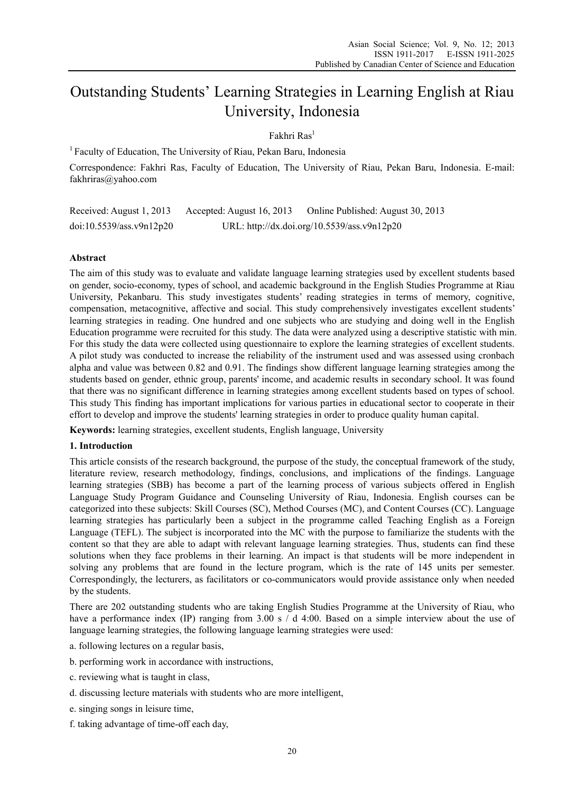# Outstanding Students' Learning Strategies in Learning English at Riau University, Indonesia

Fakhri Ras<sup>1</sup>

<sup>1</sup> Faculty of Education, The University of Riau, Pekan Baru, Indonesia

Correspondence: Fakhri Ras, Faculty of Education, The University of Riau, Pekan Baru, Indonesia. E-mail: fakhriras@yahoo.com

Received: August 1, 2013 Accepted: August 16, 2013 Online Published: August 30, 2013 doi:10.5539/ass.v9n12p20 URL: http://dx.doi.org/10.5539/ass.v9n12p20

# **Abstract**

The aim of this study was to evaluate and validate language learning strategies used by excellent students based on gender, socio-economy, types of school, and academic background in the English Studies Programme at Riau University, Pekanbaru. This study investigates students' reading strategies in terms of memory, cognitive, compensation, metacognitive, affective and social. This study comprehensively investigates excellent students' learning strategies in reading. One hundred and one subjects who are studying and doing well in the English Education programme were recruited for this study. The data were analyzed using a descriptive statistic with min. For this study the data were collected using questionnaire to explore the learning strategies of excellent students. A pilot study was conducted to increase the reliability of the instrument used and was assessed using cronbach alpha and value was between 0.82 and 0.91. The findings show different language learning strategies among the students based on gender, ethnic group, parents' income, and academic results in secondary school. It was found that there was no significant difference in learning strategies among excellent students based on types of school. This study This finding has important implications for various parties in educational sector to cooperate in their effort to develop and improve the students' learning strategies in order to produce quality human capital.

**Keywords:** learning strategies, excellent students, English language, University

# **1. Introduction**

This article consists of the research background, the purpose of the study, the conceptual framework of the study, literature review, research methodology, findings, conclusions, and implications of the findings. Language learning strategies (SBB) has become a part of the learning process of various subjects offered in English Language Study Program Guidance and Counseling University of Riau, Indonesia. English courses can be categorized into these subjects: Skill Courses (SC), Method Courses (MC), and Content Courses (CC). Language learning strategies has particularly been a subject in the programme called Teaching English as a Foreign Language (TEFL). The subject is incorporated into the MC with the purpose to familiarize the students with the content so that they are able to adapt with relevant language learning strategies. Thus, students can find these solutions when they face problems in their learning. An impact is that students will be more independent in solving any problems that are found in the lecture program, which is the rate of 145 units per semester. Correspondingly, the lecturers, as facilitators or co-communicators would provide assistance only when needed by the students.

There are 202 outstanding students who are taking English Studies Programme at the University of Riau, who have a performance index (IP) ranging from 3.00 s / d 4:00. Based on a simple interview about the use of language learning strategies, the following language learning strategies were used:

a. following lectures on a regular basis,

- b. performing work in accordance with instructions,
- c. reviewing what is taught in class,
- d. discussing lecture materials with students who are more intelligent,
- e. singing songs in leisure time,
- f. taking advantage of time-off each day,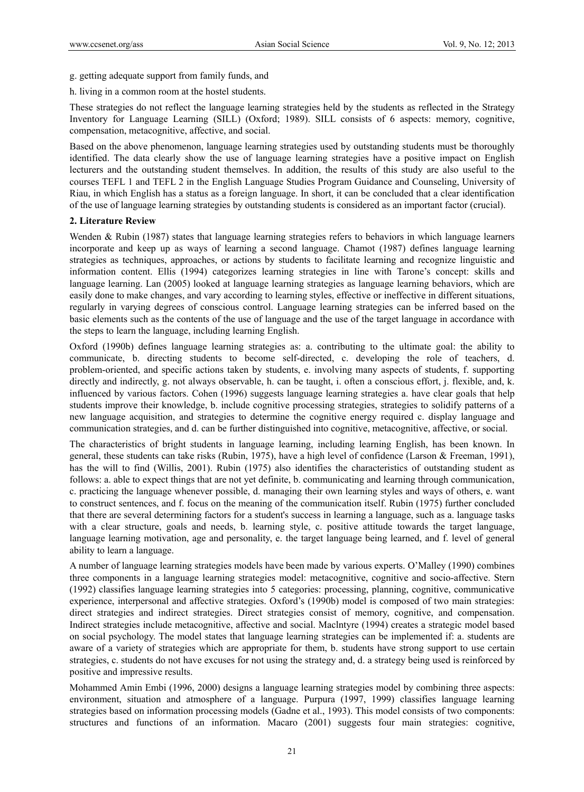- g. getting adequate support from family funds, and
- h. living in a common room at the hostel students.

These strategies do not reflect the language learning strategies held by the students as reflected in the Strategy Inventory for Language Learning (SILL) (Oxford; 1989). SILL consists of 6 aspects: memory, cognitive, compensation, metacognitive, affective, and social.

Based on the above phenomenon, language learning strategies used by outstanding students must be thoroughly identified. The data clearly show the use of language learning strategies have a positive impact on English lecturers and the outstanding student themselves. In addition, the results of this study are also useful to the courses TEFL 1 and TEFL 2 in the English Language Studies Program Guidance and Counseling, University of Riau, in which English has a status as a foreign language. In short, it can be concluded that a clear identification of the use of language learning strategies by outstanding students is considered as an important factor (crucial).

#### **2. Literature Review**

Wenden & Rubin (1987) states that language learning strategies refers to behaviors in which language learners incorporate and keep up as ways of learning a second language. Chamot (1987) defines language learning strategies as techniques, approaches, or actions by students to facilitate learning and recognize linguistic and information content. Ellis (1994) categorizes learning strategies in line with Tarone's concept: skills and language learning. Lan (2005) looked at language learning strategies as language learning behaviors, which are easily done to make changes, and vary according to learning styles, effective or ineffective in different situations, regularly in varying degrees of conscious control. Language learning strategies can be inferred based on the basic elements such as the contents of the use of language and the use of the target language in accordance with the steps to learn the language, including learning English.

Oxford (1990b) defines language learning strategies as: a. contributing to the ultimate goal: the ability to communicate, b. directing students to become self-directed, c. developing the role of teachers, d. problem-oriented, and specific actions taken by students, e. involving many aspects of students, f. supporting directly and indirectly, g. not always observable, h. can be taught, i. often a conscious effort, j. flexible, and, k. influenced by various factors. Cohen (1996) suggests language learning strategies a. have clear goals that help students improve their knowledge, b. include cognitive processing strategies, strategies to solidify patterns of a new language acquisition, and strategies to determine the cognitive energy required c. display language and communication strategies, and d. can be further distinguished into cognitive, metacognitive, affective, or social.

The characteristics of bright students in language learning, including learning English, has been known. In general, these students can take risks (Rubin, 1975), have a high level of confidence (Larson & Freeman, 1991), has the will to find (Willis, 2001). Rubin (1975) also identifies the characteristics of outstanding student as follows: a. able to expect things that are not yet definite, b. communicating and learning through communication, c. practicing the language whenever possible, d. managing their own learning styles and ways of others, e. want to construct sentences, and f. focus on the meaning of the communication itself. Rubin (1975) further concluded that there are several determining factors for a student's success in learning a language, such as a. language tasks with a clear structure, goals and needs, b. learning style, c. positive attitude towards the target language, language learning motivation, age and personality, e. the target language being learned, and f. level of general ability to learn a language.

A number of language learning strategies models have been made by various experts. O'Malley (1990) combines three components in a language learning strategies model: metacognitive, cognitive and socio-affective. Stern (1992) classifies language learning strategies into 5 categories: processing, planning, cognitive, communicative experience, interpersonal and affective strategies. Oxford's (1990b) model is composed of two main strategies: direct strategies and indirect strategies. Direct strategies consist of memory, cognitive, and compensation. Indirect strategies include metacognitive, affective and social. Maclntyre (1994) creates a strategic model based on social psychology. The model states that language learning strategies can be implemented if: a. students are aware of a variety of strategies which are appropriate for them, b. students have strong support to use certain strategies, c. students do not have excuses for not using the strategy and, d. a strategy being used is reinforced by positive and impressive results.

Mohammed Amin Embi (1996, 2000) designs a language learning strategies model by combining three aspects: environment, situation and atmosphere of a language. Purpura (1997, 1999) classifies language learning strategies based on information processing models (Gadne et al., 1993). This model consists of two components: structures and functions of an information. Macaro (2001) suggests four main strategies: cognitive,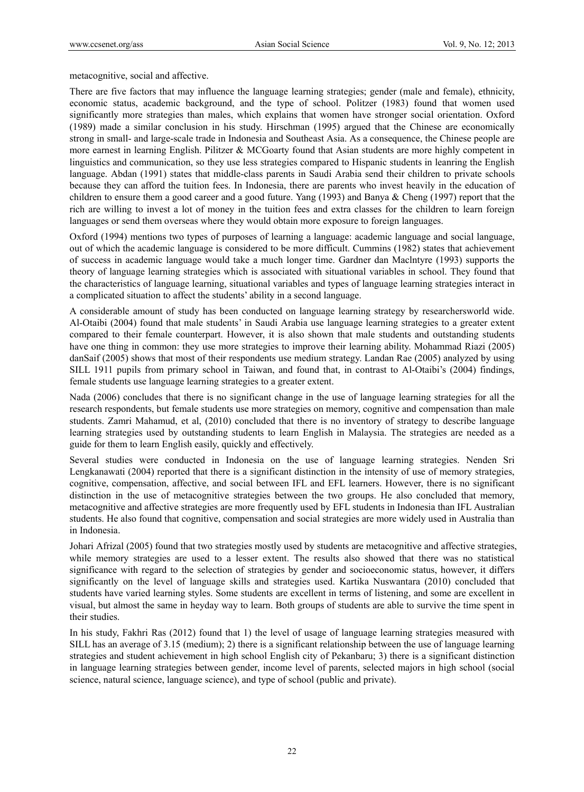metacognitive, social and affective.

There are five factors that may influence the language learning strategies; gender (male and female), ethnicity, economic status, academic background, and the type of school. Politzer (1983) found that women used significantly more strategies than males, which explains that women have stronger social orientation. Oxford (1989) made a similar conclusion in his study. Hirschman (1995) argued that the Chinese are economically strong in small- and large-scale trade in Indonesia and Southeast Asia. As a consequence, the Chinese people are more earnest in learning English. Pilitzer & MCGoarty found that Asian students are more highly competent in linguistics and communication, so they use less strategies compared to Hispanic students in leanring the English language. Abdan (1991) states that middle-class parents in Saudi Arabia send their children to private schools because they can afford the tuition fees. In Indonesia, there are parents who invest heavily in the education of children to ensure them a good career and a good future. Yang (1993) and Banya & Cheng (1997) report that the rich are willing to invest a lot of money in the tuition fees and extra classes for the children to learn foreign languages or send them overseas where they would obtain more exposure to foreign languages.

Oxford (1994) mentions two types of purposes of learning a language: academic language and social language, out of which the academic language is considered to be more difficult. Cummins (1982) states that achievement of success in academic language would take a much longer time. Gardner dan Maclntyre (1993) supports the theory of language learning strategies which is associated with situational variables in school. They found that the characteristics of language learning, situational variables and types of language learning strategies interact in a complicated situation to affect the students' ability in a second language.

A considerable amount of study has been conducted on language learning strategy by researchersworld wide. Al-Otaibi (2004) found that male students' in Saudi Arabia use language learning strategies to a greater extent compared to their female counterpart. However, it is also shown that male students and outstanding students have one thing in common: they use more strategies to improve their learning ability. Mohammad Riazi (2005) danSaif (2005) shows that most of their respondents use medium strategy. Landan Rae (2005) analyzed by using SILL 1911 pupils from primary school in Taiwan, and found that, in contrast to Al-Otaibi's (2004) findings, female students use language learning strategies to a greater extent.

Nada (2006) concludes that there is no significant change in the use of language learning strategies for all the research respondents, but female students use more strategies on memory, cognitive and compensation than male students. Zamri Mahamud, et al, (2010) concluded that there is no inventory of strategy to describe language learning strategies used by outstanding students to learn English in Malaysia. The strategies are needed as a guide for them to learn English easily, quickly and effectively.

Several studies were conducted in Indonesia on the use of language learning strategies. Nenden Sri Lengkanawati (2004) reported that there is a significant distinction in the intensity of use of memory strategies, cognitive, compensation, affective, and social between IFL and EFL learners. However, there is no significant distinction in the use of metacognitive strategies between the two groups. He also concluded that memory, metacognitive and affective strategies are more frequently used by EFL students in Indonesia than IFL Australian students. He also found that cognitive, compensation and social strategies are more widely used in Australia than in Indonesia.

Johari Afrizal (2005) found that two strategies mostly used by students are metacognitive and affective strategies, while memory strategies are used to a lesser extent. The results also showed that there was no statistical significance with regard to the selection of strategies by gender and socioeconomic status, however, it differs significantly on the level of language skills and strategies used. Kartika Nuswantara (2010) concluded that students have varied learning styles. Some students are excellent in terms of listening, and some are excellent in visual, but almost the same in heyday way to learn. Both groups of students are able to survive the time spent in their studies.

In his study, Fakhri Ras (2012) found that 1) the level of usage of language learning strategies measured with SILL has an average of 3.15 (medium); 2) there is a significant relationship between the use of language learning strategies and student achievement in high school English city of Pekanbaru; 3) there is a significant distinction in language learning strategies between gender, income level of parents, selected majors in high school (social science, natural science, language science), and type of school (public and private).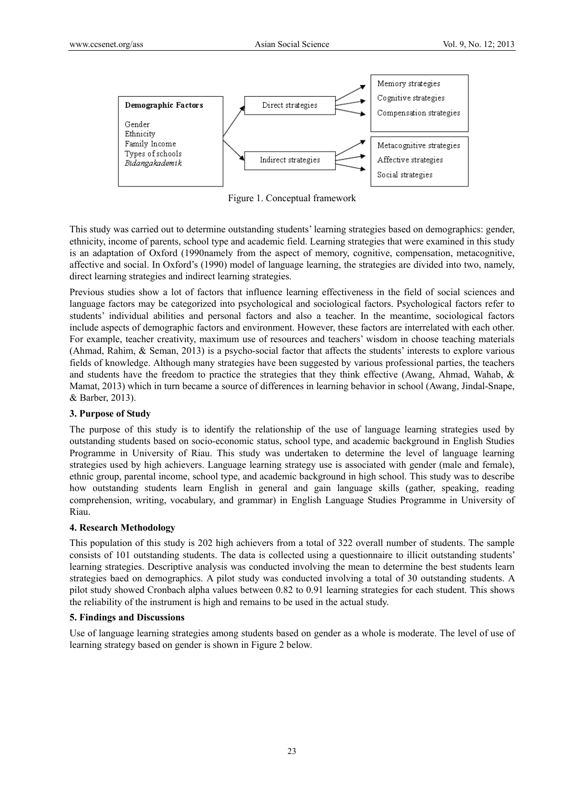

Figure 1. Conceptual framework

This study was carried out to determine outstanding students' learning strategies based on demographics: gender, ethnicity, income of parents, school type and academic field. Learning strategies that were examined in this study is an adaptation of Oxford (1990namely from the aspect of memory, cognitive, compensation, metacognitive, affective and social. In Oxford's (1990) model of language learning, the strategies are divided into two, namely, direct learning strategies and indirect learning strategies.

Previous studies show a lot of factors that influence learning effectiveness in the field of social sciences and language factors may be categorized into psychological and sociological factors. Psychological factors refer to students' individual abilities and personal factors and also a teacher. In the meantime, sociological factors include aspects of demographic factors and environment. However, these factors are interrelated with each other. For example, teacher creativity, maximum use of resources and teachers' wisdom in choose teaching materials (Ahmad, Rahim, & Seman, 2013) is a psycho-social factor that affects the students' interests to explore various fields of knowledge. Although many strategies have been suggested by various professional parties, the teachers and students have the freedom to practice the strategies that they think effective (Awang, Ahmad, Wahab, & Mamat, 2013) which in turn became a source of differences in learning behavior in school (Awang, Jindal-Snape, & Barber, 2013).

## **3. Purpose of Study**

The purpose of this study is to identify the relationship of the use of language learning strategies used by outstanding students based on socio-economic status, school type, and academic background in English Studies Programme in University of Riau. This study was undertaken to determine the level of language learning strategies used by high achievers. Language learning strategy use is associated with gender (male and female), ethnic group, parental income, school type, and academic background in high school. This study was to describe how outstanding students learn English in general and gain language skills (gather, speaking, reading comprehension, writing, vocabulary, and grammar) in English Language Studies Programme in University of Riau.

## **4. Research Methodology**

This population of this study is 202 high achievers from a total of 322 overall number of students. The sample consists of 101 outstanding students. The data is collected using a questionnaire to illicit outstanding students' learning strategies. Descriptive analysis was conducted involving the mean to determine the best students learn strategies baed on demographics. A pilot study was conducted involving a total of 30 outstanding students. A pilot study showed Cronbach alpha values between 0.82 to 0.91 learning strategies for each student. This shows the reliability of the instrument is high and remains to be used in the actual study.

## **5. Findings and Discussions**

Use of language learning strategies among students based on gender as a whole is moderate. The level of use of learning strategy based on gender is shown in Figure 2 below.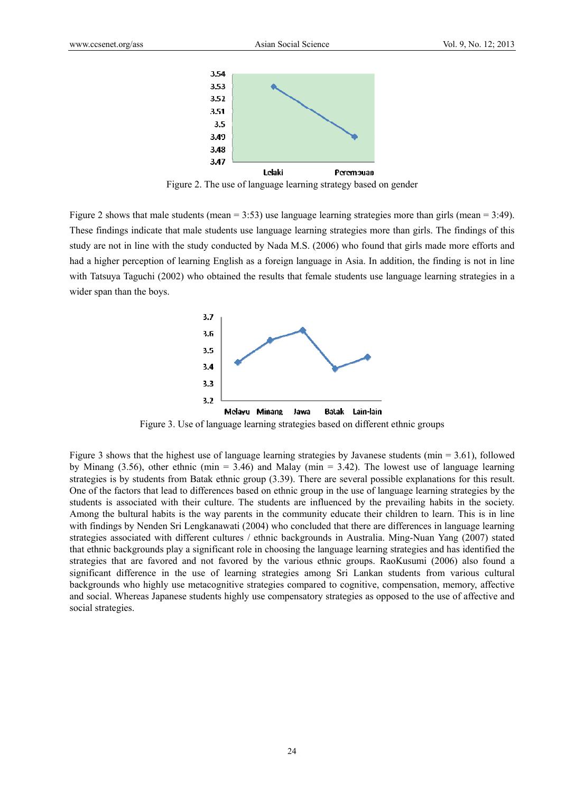

Figure 2. The use of language learning strategy based on gender

Figure 2 shows that male students (mean = 3:53) use language learning strategies more than girls (mean = 3:49). These findings indicate that male students use language learning strategies more than girls. The findings of this study are not in line with the study conducted by Nada M.S. (2006) who found that girls made more efforts and had a higher perception of learning English as a foreign language in Asia. In addition, the finding is not in line with Tatsuya Taguchi (2002) who obtained the results that female students use language learning strategies in a wider span than the boys.



Figure 3. Use of language learning strategies based on different ethnic groups

Figure 3 shows that the highest use of language learning strategies by Javanese students (min = 3.61), followed by Minang (3.56), other ethnic (min = 3.46) and Malay (min = 3.42). The lowest use of language learning strategies is by students from Batak ethnic group (3.39). There are several possible explanations for this result. One of the factors that lead to differences based on ethnic group in the use of language learning strategies by the students is associated with their culture. The students are influenced by the prevailing habits in the society. Among the bultural habits is the way parents in the community educate their children to learn. This is in line with findings by Nenden Sri Lengkanawati (2004) who concluded that there are differences in language learning strategies associated with different cultures / ethnic backgrounds in Australia. Ming-Nuan Yang (2007) stated that ethnic backgrounds play a significant role in choosing the language learning strategies and has identified the strategies that are favored and not favored by the various ethnic groups. RaoKusumi (2006) also found a significant difference in the use of learning strategies among Sri Lankan students from various cultural backgrounds who highly use metacognitive strategies compared to cognitive, compensation, memory, affective and social. Whereas Japanese students highly use compensatory strategies as opposed to the use of affective and social strategies.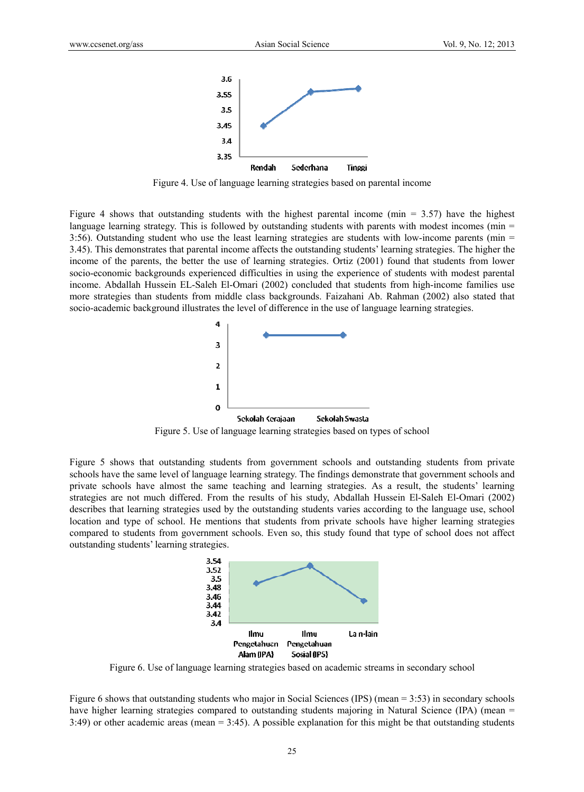

Figure 4. Use of language learning strategies based on parental income

Figure 4 shows that outstanding students with the highest parental income (min = 3.57) have the highest language learning strategy. This is followed by outstanding students with parents with modest incomes (min = 3:56). Outstanding student who use the least learning strategies are students with low-income parents (min = 3.45). This demonstrates that parental income affects the outstanding students' learning strategies. The higher the income of the parents, the better the use of learning strategies. Ortiz (2001) found that students from lower socio-economic backgrounds experienced difficulties in using the experience of students with modest parental income. Abdallah Hussein EL-Saleh El-Omari (2002) concluded that students from high-income families use more strategies than students from middle class backgrounds. Faizahani Ab. Rahman (2002) also stated that socio-academic background illustrates the level of difference in the use of language learning strategies.



Figure 5. Use of language learning strategies based on types of school

Figure 5 shows that outstanding students from government schools and outstanding students from private schools have the same level of language learning strategy. The findings demonstrate that government schools and private schools have almost the same teaching and learning strategies. As a result, the students' learning strategies are not much differed. From the results of his study, Abdallah Hussein El-Saleh El-Omari (2002) describes that learning strategies used by the outstanding students varies according to the language use, school location and type of school. He mentions that students from private schools have higher learning strategies compared to students from government schools. Even so, this study found that type of school does not affect outstanding students' learning strategies.



Figure 6. Use of language learning strategies based on academic streams in secondary school

Figure 6 shows that outstanding students who major in Social Sciences (IPS) (mean = 3:53) in secondary schools have higher learning strategies compared to outstanding students majoring in Natural Science (IPA) (mean = 3:49) or other academic areas (mean = 3:45). A possible explanation for this might be that outstanding students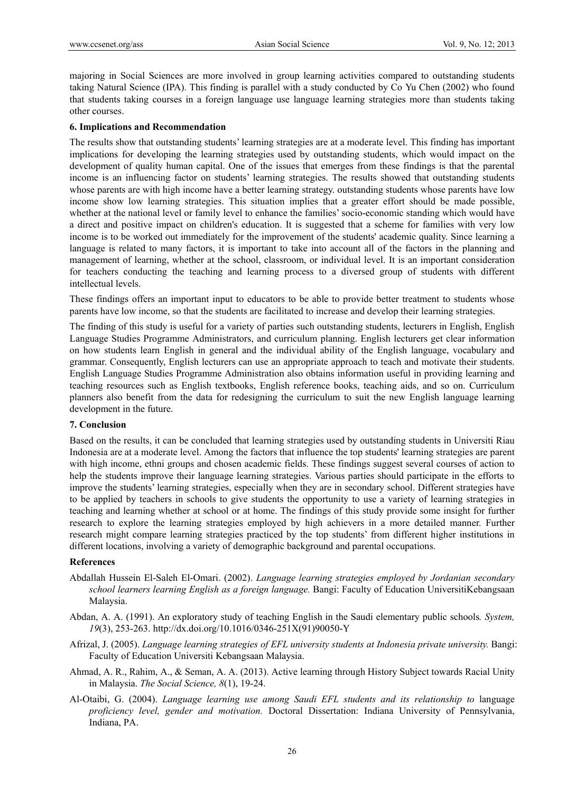majoring in Social Sciences are more involved in group learning activities compared to outstanding students taking Natural Science (IPA). This finding is parallel with a study conducted by Co Yu Chen (2002) who found that students taking courses in a foreign language use language learning strategies more than students taking other courses.

#### **6. Implications and Recommendation**

The results show that outstanding students' learning strategies are at a moderate level. This finding has important implications for developing the learning strategies used by outstanding students, which would impact on the development of quality human capital. One of the issues that emerges from these findings is that the parental income is an influencing factor on students' learning strategies. The results showed that outstanding students whose parents are with high income have a better learning strategy. outstanding students whose parents have low income show low learning strategies. This situation implies that a greater effort should be made possible, whether at the national level or family level to enhance the families' socio-economic standing which would have a direct and positive impact on children's education. It is suggested that a scheme for families with very low income is to be worked out immediately for the improvement of the students' academic quality. Since learning a language is related to many factors, it is important to take into account all of the factors in the planning and management of learning, whether at the school, classroom, or individual level. It is an important consideration for teachers conducting the teaching and learning process to a diversed group of students with different intellectual levels.

These findings offers an important input to educators to be able to provide better treatment to students whose parents have low income, so that the students are facilitated to increase and develop their learning strategies.

The finding of this study is useful for a variety of parties such outstanding students, lecturers in English, English Language Studies Programme Administrators, and curriculum planning. English lecturers get clear information on how students learn English in general and the individual ability of the English language, vocabulary and grammar. Consequently, English lecturers can use an appropriate approach to teach and motivate their students. English Language Studies Programme Administration also obtains information useful in providing learning and teaching resources such as English textbooks, English reference books, teaching aids, and so on. Curriculum planners also benefit from the data for redesigning the curriculum to suit the new English language learning development in the future.

#### **7. Conclusion**

Based on the results, it can be concluded that learning strategies used by outstanding students in Universiti Riau Indonesia are at a moderate level. Among the factors that influence the top students' learning strategies are parent with high income, ethni groups and chosen academic fields. These findings suggest several courses of action to help the students improve their language learning strategies. Various parties should participate in the efforts to improve the students' learning strategies, especially when they are in secondary school. Different strategies have to be applied by teachers in schools to give students the opportunity to use a variety of learning strategies in teaching and learning whether at school or at home. The findings of this study provide some insight for further research to explore the learning strategies employed by high achievers in a more detailed manner. Further research might compare learning strategies practiced by the top students' from different higher institutions in different locations, involving a variety of demographic background and parental occupations.

# **References**

- Abdallah Hussein El-Saleh El-Omari. (2002). *Language learning strategies employed by Jordanian secondary school learners learning English as a foreign language.* Bangi: Faculty of Education UniversitiKebangsaan Malaysia.
- Abdan, A. A. (1991). An exploratory study of teaching English in the Saudi elementary public schools*. System, 19*(3), 253-263. http://dx.doi.org/10.1016/0346-251X(91)90050-Y
- Afrizal, J. (2005). *Language learning strategies of EFL university students at Indonesia private university.* Bangi: Faculty of Education Universiti Kebangsaan Malaysia.
- Ahmad, A. R., Rahim, A., & Seman, A. A. (2013). Active learning through History Subject towards Racial Unity in Malaysia. *The Social Science, 8*(1), 19-24.
- Al-Otaibi, G. (2004). *Language learning use among Saudi EFL students and its relationship to* language *proficiency level, gender and motivation.* Doctoral Dissertation: Indiana University of Pennsylvania, Indiana, PA.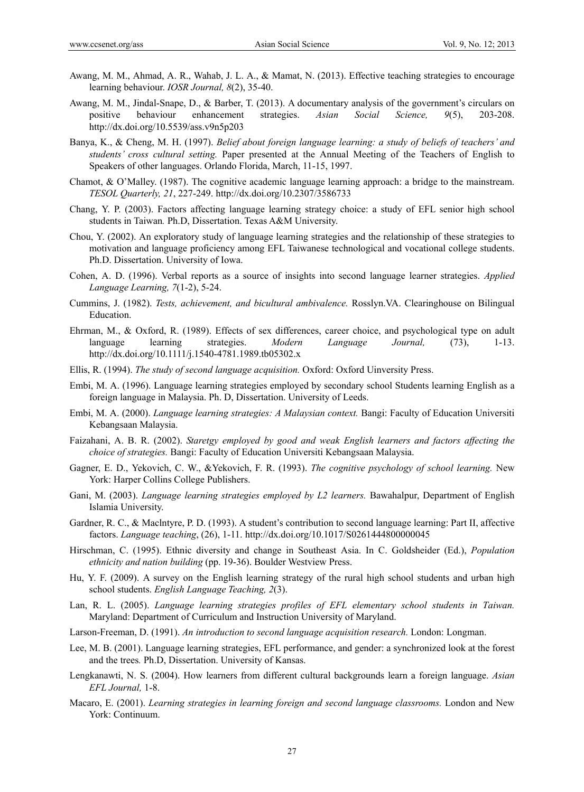- Awang, M. M., Ahmad, A. R., Wahab, J. L. A., & Mamat, N. (2013). Effective teaching strategies to encourage learning behaviour. *IOSR Journal, 8*(2), 35-40.
- Awang, M. M., Jindal-Snape, D., & Barber, T. (2013). A documentary analysis of the government's circulars on positive behaviour enhancement strategies. *Asian Social Science, 9*(5), 203-208. http://dx.doi.org/10.5539/ass.v9n5p203
- Banya, K., & Cheng, M. H. (1997). *Belief about foreign language learning: a study of beliefs of teachers' and students' cross cultural setting.* Paper presented at the Annual Meeting of the Teachers of English to Speakers of other languages. Orlando Florida, March, 11-15, 1997.
- Chamot, & O'Malley. (1987). The cognitive academic language learning approach: a bridge to the mainstream. *TESOL Quarterly, 21*, 227-249. http://dx.doi.org/10.2307/3586733
- Chang, Y. P. (2003). Factors affecting language learning strategy choice: a study of EFL senior high school students in Taiwan*.* Ph.D, Dissertation. Texas A&M University.
- Chou, Y. (2002). An exploratory study of language learning strategies and the relationship of these strategies to motivation and language proficiency among EFL Taiwanese technological and vocational college students. Ph.D. Dissertation. University of Iowa.
- Cohen, A. D. (1996). Verbal reports as a source of insights into second language learner strategies. *Applied Language Learning, 7*(1-2), 5-24.
- Cummins, J. (1982). *Tests, achievement, and bicultural ambivalence.* Rosslyn.VA. Clearinghouse on Bilingual Education.
- Ehrman, M., & Oxford, R. (1989). Effects of sex differences, career choice, and psychological type on adult language learning strategies. *Modern Language Journal,* (73), 1-13. http://dx.doi.org/10.1111/j.1540-4781.1989.tb05302.x
- Ellis, R. (1994). *The study of second language acquisition.* Oxford: Oxford Uinversity Press.
- Embi, M. A. (1996). Language learning strategies employed by secondary school Students learning English as a foreign language in Malaysia. Ph. D, Dissertation. University of Leeds.
- Embi, M. A. (2000). *Language learning strategies: A Malaysian context.* Bangi: Faculty of Education Universiti Kebangsaan Malaysia.
- Faizahani, A. B. R. (2002). *Staretgy employed by good and weak English learners and factors affecting the choice of strategies.* Bangi: Faculty of Education Universiti Kebangsaan Malaysia.
- Gagner, E. D., Yekovich, C. W., &Yekovich, F. R. (1993). *The cognitive psychology of school learning.* New York: Harper Collins College Publishers.
- Gani, M. (2003). *Language learning strategies employed by L2 learners.* Bawahalpur, Department of English Islamia University.
- Gardner, R. C., & Maclntyre, P. D. (1993). A student's contribution to second language learning: Part II, affective factors. *Language teaching*, (26), 1-11. http://dx.doi.org/10.1017/S0261444800000045
- Hirschman, C. (1995). Ethnic diversity and change in Southeast Asia. In C. Goldsheider (Ed.), *Population ethnicity and nation building* (pp. 19-36). Boulder Westview Press.
- Hu, Y. F. (2009). A survey on the English learning strategy of the rural high school students and urban high school students. *English Language Teaching, 2*(3).
- Lan, R. L. (2005). *Language learning strategies profiles of EFL elementary school students in Taiwan.* Maryland: Department of Curriculum and Instruction University of Maryland.
- Larson-Freeman, D. (1991). *An introduction to second language acquisition research.* London: Longman.
- Lee, M. B. (2001). Language learning strategies, EFL performance, and gender: a synchronized look at the forest and the trees*.* Ph.D, Dissertation. University of Kansas.
- Lengkanawti, N. S. (2004). How learners from different cultural backgrounds learn a foreign language. *Asian EFL Journal,* 1-8.
- Macaro, E. (2001). *Learning strategies in learning foreign and second language classrooms.* London and New York: Continuum.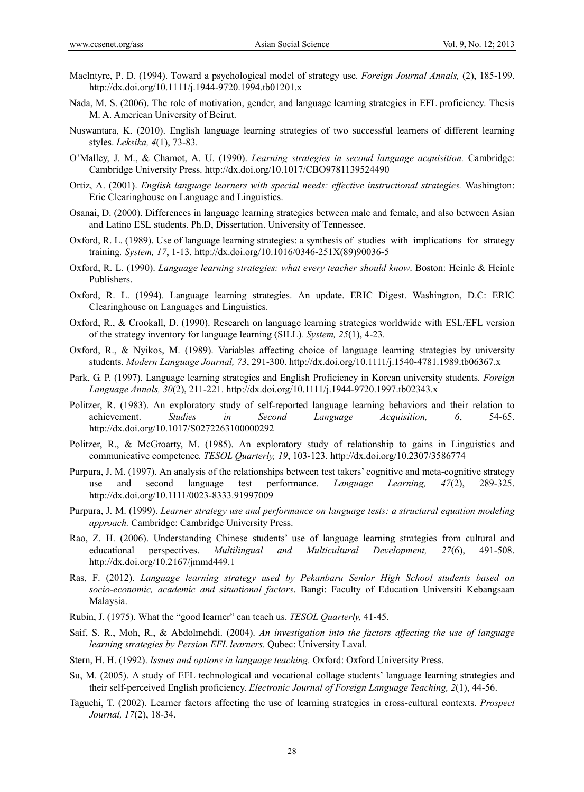- Maclntyre, P. D. (1994). Toward a psychological model of strategy use. *Foreign Journal Annals,* (2), 185-199. http://dx.doi.org/10.1111/j.1944-9720.1994.tb01201.x
- Nada, M. S. (2006). The role of motivation, gender, and language learning strategies in EFL proficiency. Thesis M. A. American University of Beirut.
- Nuswantara, K. (2010). English language learning strategies of two successful learners of different learning styles. *Leksika, 4*(1), 73-83.
- O'Malley, J. M., & Chamot, A. U. (1990). *Learning strategies in second language acquisition.* Cambridge: Cambridge University Press. http://dx.doi.org/10.1017/CBO9781139524490
- Ortiz, A. (2001). *English language learners with special needs: effective instructional strategies.* Washington: Eric Clearinghouse on Language and Linguistics.
- Osanai, D. (2000). Differences in language learning strategies between male and female, and also between Asian and Latino ESL students. Ph.D, Dissertation. University of Tennessee.
- Oxford, R. L. (1989). Use of language learning strategies: a synthesis of studies with implications for strategy training*. System, 17*, 1-13. http://dx.doi.org/10.1016/0346-251X(89)90036-5
- Oxford, R. L. (1990). *Language learning strategies: what every teacher should know*. Boston: Heinle & Heinle Publishers.
- Oxford, R. L. (1994). Language learning strategies. An update. ERIC Digest. Washington, D.C: ERIC Clearinghouse on Languages and Linguistics.
- Oxford, R., & Crookall, D. (1990). Research on language learning strategies worldwide with ESL/EFL version of the strategy inventory for language learning (SILL)*. System, 25*(1), 4-23.
- Oxford, R., & Nyikos, M. (1989). Variables affecting choice of language learning strategies by university students. *Modern Language Journal, 73*, 291-300. http://dx.doi.org/10.1111/j.1540-4781.1989.tb06367.x
- Park, G. P. (1997). Language learning strategies and English Proficiency in Korean university students*. Foreign Language Annals, 30*(2), 211-221. http://dx.doi.org/10.1111/j.1944-9720.1997.tb02343.x
- Politzer, R. (1983). An exploratory study of self-reported language learning behaviors and their relation to achievement. *Studies in Second Language Acquisition, 6*, 54-65. http://dx.doi.org/10.1017/S0272263100000292
- Politzer, R., & McGroarty, M. (1985). An exploratory study of relationship to gains in Linguistics and communicative competence*. TESOL Quarterly, 19*, 103-123. http://dx.doi.org/10.2307/3586774
- Purpura, J. M. (1997). An analysis of the relationships between test takers' cognitive and meta-cognitive strategy use and second language test performance. *Language Learning, 47*(2), 289-325. http://dx.doi.org/10.1111/0023-8333.91997009
- Purpura, J. M. (1999). *Learner strategy use and performance on language tests: a structural equation modeling approach.* Cambridge: Cambridge University Press.
- Rao, Z. H. (2006). Understanding Chinese students' use of language learning strategies from cultural and educational perspectives. *Multilingual and Multicultural Development, 27*(6), 491-508. http://dx.doi.org/10.2167/jmmd449.1
- Ras, F. (2012). *Language learning strategy used by Pekanbaru Senior High School students based on socio-economic, academic and situational factors*. Bangi: Faculty of Education Universiti Kebangsaan Malaysia.
- Rubin, J. (1975). What the "good learner" can teach us. *TESOL Quarterly,* 41-45.
- Saif, S. R., Moh, R., & Abdolmehdi. (2004). *An investigation into the factors affecting the use of language learning strategies by Persian EFL learners. Qubec: University Laval.*
- Stern, H. H. (1992). *Issues and options in language teaching.* Oxford: Oxford University Press.
- Su, M. (2005). A study of EFL technological and vocational collage students' language learning strategies and their self-perceived English proficiency. *Electronic Journal of Foreign Language Teaching, 2*(1), 44-56.
- Taguchi, T. (2002). Learner factors affecting the use of learning strategies in cross-cultural contexts. *Prospect Journal, 17*(2), 18-34.